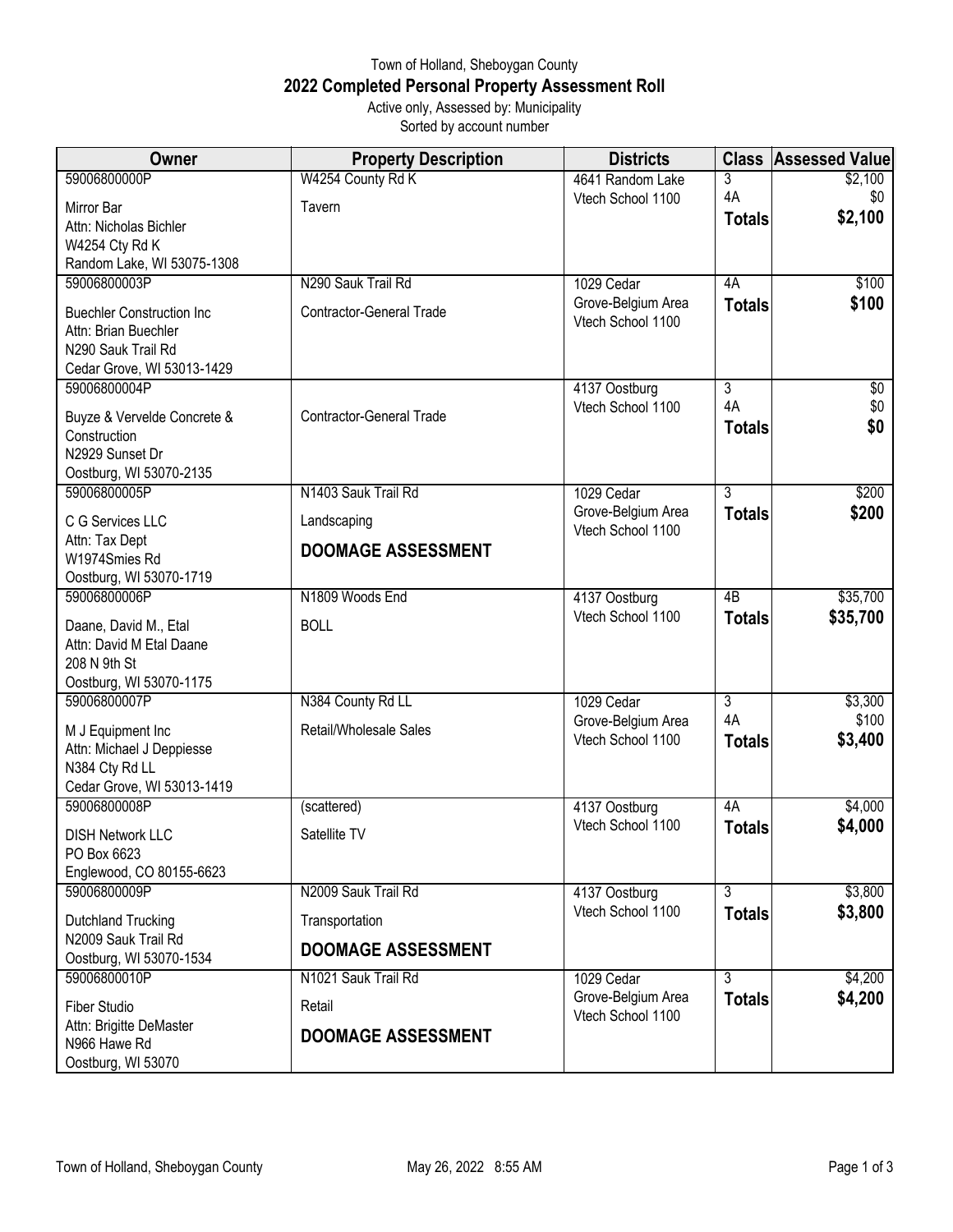## Town of Holland, Sheboygan County **2022 Completed Personal Property Assessment Roll** Active only, Assessed by: Municipality

Sorted by account number

| <b>Owner</b>                                   | <b>Property Description</b>     | <b>Districts</b>                        | <b>Class</b>   | <b>Assessed Value</b> |
|------------------------------------------------|---------------------------------|-----------------------------------------|----------------|-----------------------|
| 59006800000P                                   | W4254 County Rd K               | 4641 Random Lake                        | 3              | \$2,100               |
| Mirror Bar                                     | Tavern                          | Vtech School 1100                       | 4A             | \$0                   |
| Attn: Nicholas Bichler                         |                                 |                                         | <b>Totals</b>  | \$2,100               |
| W4254 Cty Rd K                                 |                                 |                                         |                |                       |
| Random Lake, WI 53075-1308<br>59006800003P     | N290 Sauk Trail Rd              |                                         | 4A             | \$100                 |
|                                                |                                 | 1029 Cedar<br>Grove-Belgium Area        | <b>Totals</b>  | \$100                 |
| <b>Buechler Construction Inc</b>               | <b>Contractor-General Trade</b> | Vtech School 1100                       |                |                       |
| Attn: Brian Buechler<br>N290 Sauk Trail Rd     |                                 |                                         |                |                       |
| Cedar Grove, WI 53013-1429                     |                                 |                                         |                |                       |
| 59006800004P                                   |                                 | 4137 Oostburg                           | $\overline{3}$ | $\sqrt{6}$            |
|                                                | <b>Contractor-General Trade</b> | Vtech School 1100                       | 4A             | \$0                   |
| Buyze & Vervelde Concrete &<br>Construction    |                                 |                                         | <b>Totals</b>  | \$0                   |
| N2929 Sunset Dr                                |                                 |                                         |                |                       |
| Oostburg, WI 53070-2135                        |                                 |                                         |                |                       |
| 59006800005P                                   | N1403 Sauk Trail Rd             | 1029 Cedar                              | $\overline{3}$ | \$200                 |
| C G Services LLC                               | Landscaping                     | Grove-Belgium Area                      | <b>Totals</b>  | \$200                 |
| Attn: Tax Dept                                 |                                 | Vtech School 1100                       |                |                       |
| W1974Smies Rd                                  | <b>DOOMAGE ASSESSMENT</b>       |                                         |                |                       |
| Oostburg, WI 53070-1719                        |                                 |                                         |                |                       |
| 59006800006P                                   | N1809 Woods End                 | 4137 Oostburg<br>Vtech School 1100      | 4B             | \$35,700              |
| Daane, David M., Etal                          | <b>BOLL</b>                     |                                         | <b>Totals</b>  | \$35,700              |
| Attn: David M Etal Daane                       |                                 |                                         |                |                       |
| 208 N 9th St<br>Oostburg, WI 53070-1175        |                                 |                                         |                |                       |
| 59006800007P                                   | N384 County Rd LL               | 1029 Cedar                              | $\overline{3}$ | \$3,300               |
|                                                |                                 | Grove-Belgium Area                      | 4A             | \$100                 |
| M J Equipment Inc<br>Attn: Michael J Deppiesse | Retail/Wholesale Sales          | Vtech School 1100                       | <b>Totals</b>  | \$3,400               |
| N384 Cty Rd LL                                 |                                 |                                         |                |                       |
| Cedar Grove, WI 53013-1419                     |                                 |                                         |                |                       |
| 59006800008P                                   | (scattered)                     | 4137 Oostburg                           | 4A             | \$4,000               |
| <b>DISH Network LLC</b>                        | Satellite TV                    | Vtech School 1100                       | <b>Totals</b>  | \$4,000               |
| PO Box 6623                                    |                                 |                                         |                |                       |
| Englewood, CO 80155-6623                       |                                 |                                         |                |                       |
| 59006800009P                                   | N2009 Sauk Trail Rd             | 4137 Oostburg                           | $\overline{3}$ | \$3,800               |
| Dutchland Trucking                             | Transportation                  | Vtech School 1100                       | <b>Totals</b>  | \$3,800               |
| N2009 Sauk Trail Rd                            | <b>DOOMAGE ASSESSMENT</b>       |                                         |                |                       |
| Oostburg, WI 53070-1534                        |                                 |                                         |                |                       |
| 59006800010P                                   | N1021 Sauk Trail Rd             | 1029 Cedar                              | $\overline{3}$ | \$4,200               |
| <b>Fiber Studio</b>                            | Retail                          | Grove-Belgium Area<br>Vtech School 1100 | <b>Totals</b>  | \$4,200               |
| Attn: Brigitte DeMaster                        | <b>DOOMAGE ASSESSMENT</b>       |                                         |                |                       |
| N966 Hawe Rd                                   |                                 |                                         |                |                       |
| Oostburg, WI 53070                             |                                 |                                         |                |                       |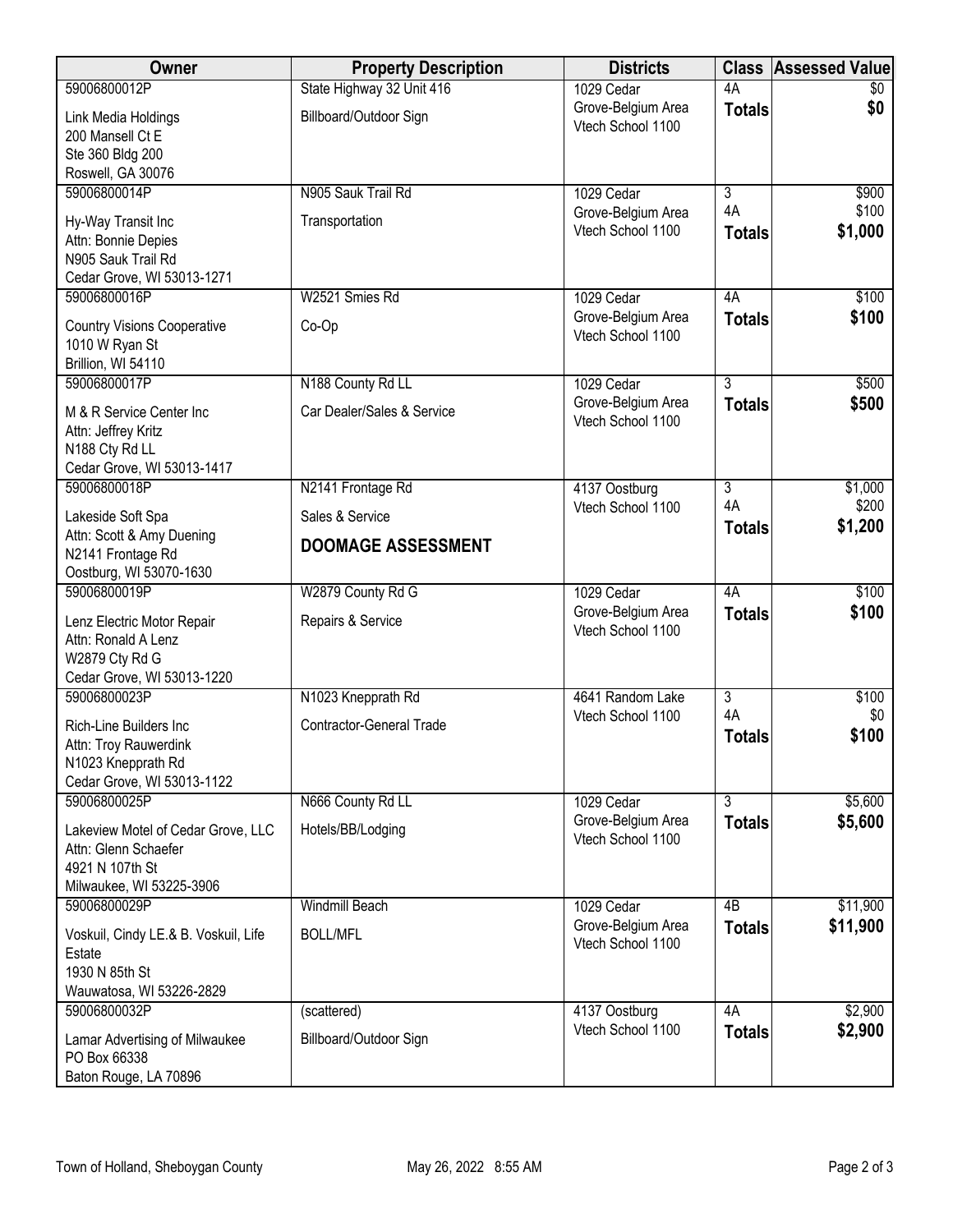| Owner                                                                                                         | <b>Property Description</b>          | <b>Districts</b>                                      | <b>Class</b>                          | <b>Assessed Value</b>     |
|---------------------------------------------------------------------------------------------------------------|--------------------------------------|-------------------------------------------------------|---------------------------------------|---------------------------|
| 59006800012P                                                                                                  | State Highway 32 Unit 416            | 1029 Cedar                                            | 4A                                    | \$0                       |
| Link Media Holdings<br>200 Mansell Ct E<br>Ste 360 Bldg 200                                                   | Billboard/Outdoor Sign               | Grove-Belgium Area<br>Vtech School 1100               | <b>Totals</b>                         | \$0                       |
| Roswell, GA 30076                                                                                             |                                      |                                                       |                                       |                           |
| 59006800014P<br>Hy-Way Transit Inc<br>Attn: Bonnie Depies<br>N905 Sauk Trail Rd<br>Cedar Grove, WI 53013-1271 | N905 Sauk Trail Rd<br>Transportation | 1029 Cedar<br>Grove-Belgium Area<br>Vtech School 1100 | $\overline{3}$<br>4A<br><b>Totals</b> | \$900<br>\$100<br>\$1,000 |
| 59006800016P                                                                                                  | W2521 Smies Rd                       | 1029 Cedar                                            | 4A                                    | \$100                     |
| <b>Country Visions Cooperative</b><br>1010 W Ryan St<br>Brillion, WI 54110                                    | $Co-Op$                              | Grove-Belgium Area<br>Vtech School 1100               | <b>Totals</b>                         | \$100                     |
| 59006800017P                                                                                                  | N188 County Rd LL                    | 1029 Cedar                                            | $\overline{3}$                        | \$500                     |
| M & R Service Center Inc<br>Attn: Jeffrey Kritz<br>N188 Cty Rd LL<br>Cedar Grove, WI 53013-1417               | Car Dealer/Sales & Service           | Grove-Belgium Area<br>Vtech School 1100               | <b>Totals</b>                         | \$500                     |
| 59006800018P                                                                                                  | N2141 Frontage Rd                    | 4137 Oostburg                                         | 3                                     | \$1,000                   |
| Lakeside Soft Spa                                                                                             | Sales & Service                      | Vtech School 1100                                     | 4A                                    | \$200                     |
| Attn: Scott & Amy Duening<br>N2141 Frontage Rd<br>Oostburg, WI 53070-1630                                     | <b>DOOMAGE ASSESSMENT</b>            |                                                       | <b>Totals</b>                         | \$1,200                   |
| 59006800019P                                                                                                  | W2879 County Rd G                    | 1029 Cedar                                            | 4A                                    | \$100                     |
| Lenz Electric Motor Repair<br>Attn: Ronald A Lenz<br>W2879 Cty Rd G<br>Cedar Grove, WI 53013-1220             | Repairs & Service                    | Grove-Belgium Area<br>Vtech School 1100               | <b>Totals</b>                         | \$100                     |
| 59006800023P                                                                                                  | N1023 Knepprath Rd                   | 4641 Random Lake                                      | $\overline{\overline{3}}$             | \$100                     |
| Rich-Line Builders Inc<br>Attn: Troy Rauwerdink<br>N1023 Knepprath Rd<br>Cedar Grove, WI 53013-1122           | <b>Contractor-General Trade</b>      | Vtech School 1100                                     | 4A<br><b>Totals</b>                   | \$0<br>\$100              |
| 59006800025P                                                                                                  | N666 County Rd LL                    | 1029 Cedar                                            | $\overline{3}$                        | \$5,600                   |
| Lakeview Motel of Cedar Grove, LLC<br>Attn: Glenn Schaefer<br>4921 N 107th St<br>Milwaukee, WI 53225-3906     | Hotels/BB/Lodging                    | Grove-Belgium Area<br>Vtech School 1100               | <b>Totals</b>                         | \$5,600                   |
| 59006800029P                                                                                                  | <b>Windmill Beach</b>                | 1029 Cedar                                            | 4B                                    | \$11,900                  |
| Voskuil, Cindy LE.& B. Voskuil, Life<br>Estate<br>1930 N 85th St<br>Wauwatosa, WI 53226-2829                  | <b>BOLL/MFL</b>                      | Grove-Belgium Area<br>Vtech School 1100               | <b>Totals</b>                         | \$11,900                  |
| 59006800032P                                                                                                  | (scattered)                          | 4137 Oostburg                                         | 4A                                    | \$2,900                   |
| Lamar Advertising of Milwaukee<br>PO Box 66338<br>Baton Rouge, LA 70896                                       | Billboard/Outdoor Sign               | Vtech School 1100                                     | <b>Totals</b>                         | \$2,900                   |